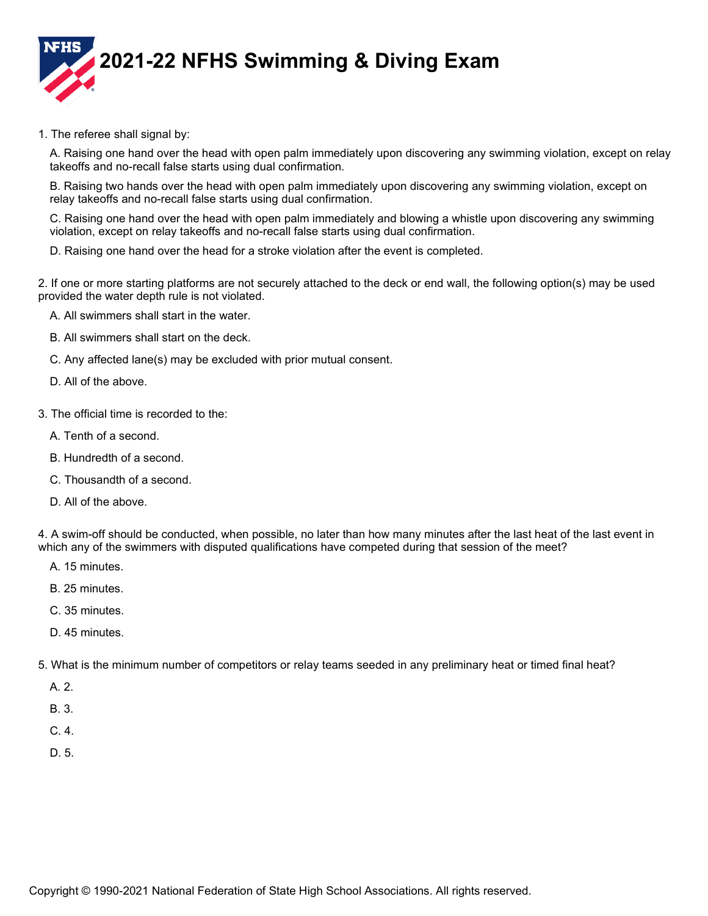

1. The referee shall signal by:

A. Raising one hand over the head with open palm immediately upon discovering any swimming violation, except on relay takeoffs and no-recall false starts using dual confirmation.

B. Raising two hands over the head with open palm immediately upon discovering any swimming violation, except on relay takeoffs and no-recall false starts using dual confirmation.

C. Raising one hand over the head with open palm immediately and blowing a whistle upon discovering any swimming violation, except on relay takeoffs and no-recall false starts using dual confirmation.

D. Raising one hand over the head for a stroke violation after the event is completed.

2. If one or more starting platforms are not securely attached to the deck or end wall, the following option(s) may be used provided the water depth rule is not violated.

- A. All swimmers shall start in the water.
- B. All swimmers shall start on the deck.
- C. Any affected lane(s) may be excluded with prior mutual consent.
- D. All of the above.
- 3. The official time is recorded to the:
	- A. Tenth of a second.
	- B. Hundredth of a second.
	- C. Thousandth of a second.
	- D. All of the above.

4. A swim-off should be conducted, when possible, no later than how many minutes after the last heat of the last event in which any of the swimmers with disputed qualifications have competed during that session of the meet?

- A. 15 minutes.
- B. 25 minutes.
- C. 35 minutes.
- D. 45 minutes.

5. What is the minimum number of competitors or relay teams seeded in any preliminary heat or timed final heat?

A. 2.

- B. 3.
- C. 4.
- D. 5.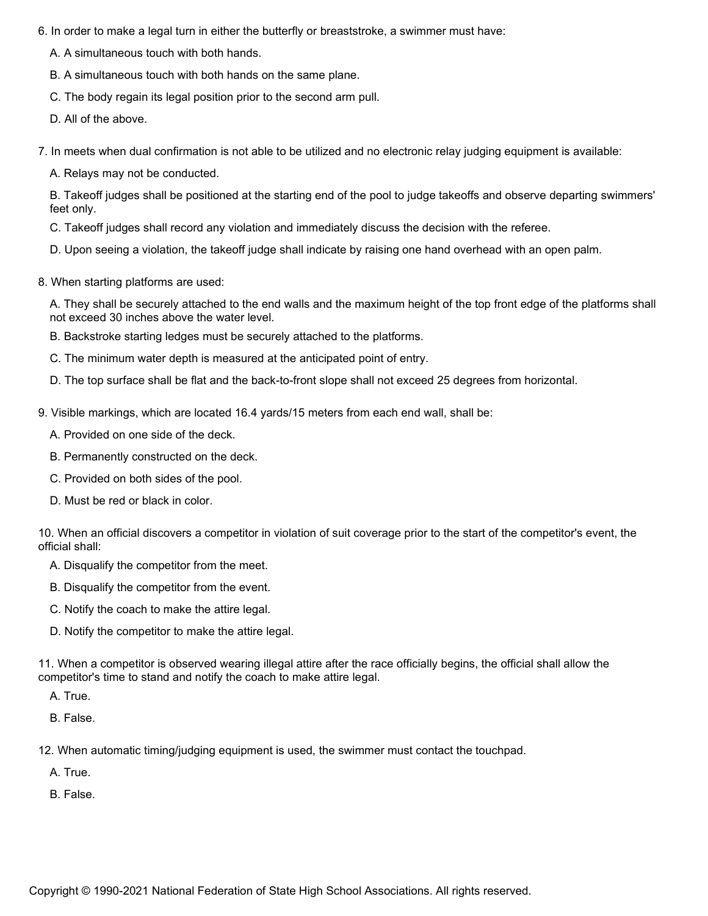- 6. In order to make a legal turn in either the butterfly or breaststroke, a swimmer must have:
	- A. A simultaneous touch with both hands.
	- B. A simultaneous touch with both hands on the same plane.
	- C. The body regain its legal position prior to the second arm pull.
	- D. All of the above.
- 7. In meets when dual confirmation is not able to be utilized and no electronic relay judging equipment is available:
	- A. Relays may not be conducted.

B. Takeoff judges shall be positioned at the starting end of the pool to judge takeoffs and observe departing swimmers' feet only.

- C. Takeoff judges shall record any violation and immediately discuss the decision with the referee.
- D. Upon seeing a violation, the takeoff judge shall indicate by raising one hand overhead with an open palm.
- 8. When starting platforms are used:

A. They shall be securely attached to the end walls and the maximum height of the top front edge of the platforms shall not exceed 30 inches above the water level.

- B. Backstroke starting ledges must be securely attached to the platforms.
- C. The minimum water depth is measured at the anticipated point of entry.
- D. The top surface shall be flat and the back-to-front slope shall not exceed 25 degrees from horizontal.
- 9. Visible markings, which are located 16.4 yards/15 meters from each end wall, shall be:
	- A. Provided on one side of the deck.
	- B. Permanently constructed on the deck.
	- C. Provided on both sides of the pool.
	- D. Must be red or black in color.

10. When an official discovers a competitor in violation of suit coverage prior to the start of the competitor's event, the official shall:

A. Disqualify the competitor from the meet.

- B. Disqualify the competitor from the event.
- C. Notify the coach to make the attire legal.
- D. Notify the competitor to make the attire legal.

11. When a competitor is observed wearing illegal attire after the race officially begins, the official shall allow the competitor's time to stand and notify the coach to make attire legal.

A. True.

B. False.

12. When automatic timing/judging equipment is used, the swimmer must contact the touchpad.

A. True.

B. False.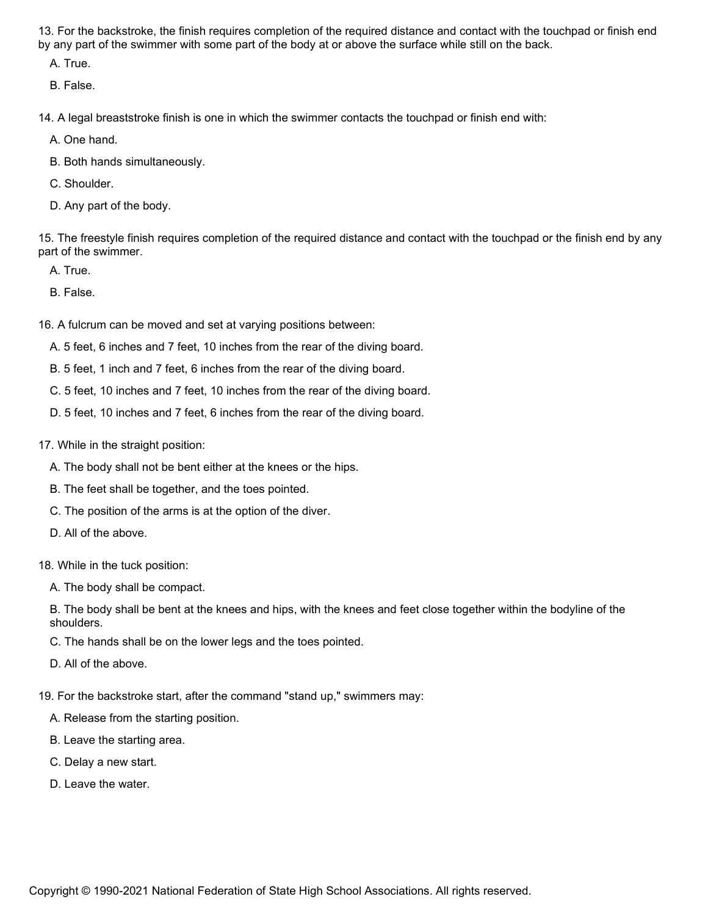13. For the backstroke, the finish requires completion of the required distance and contact with the touchpad or finish end by any part of the swimmer with some part of the body at or above the surface while still on the back.

A. True.

B. False.

14. A legal breaststroke finish is one in which the swimmer contacts the touchpad or finish end with:

A. One hand.

- B. Both hands simultaneously.
- C. Shoulder.
- D. Any part of the body.

15. The freestyle finish requires completion of the required distance and contact with the touchpad or the finish end by any part of the swimmer.

A. True.

B. False.

16. A fulcrum can be moved and set at varying positions between:

A. 5 feet, 6 inches and 7 feet, 10 inches from the rear of the diving board.

B. 5 feet, 1 inch and 7 feet, 6 inches from the rear of the diving board.

C. 5 feet, 10 inches and 7 feet, 10 inches from the rear of the diving board.

- D. 5 feet, 10 inches and 7 feet, 6 inches from the rear of the diving board.
- 17. While in the straight position:
	- A. The body shall not be bent either at the knees or the hips.
	- B. The feet shall be together, and the toes pointed.
	- C. The position of the arms is at the option of the diver.
	- D. All of the above.

18. While in the tuck position:

A. The body shall be compact.

B. The body shall be bent at the knees and hips, with the knees and feet close together within the bodyline of the shoulders.

- C. The hands shall be on the lower legs and the toes pointed.
- D. All of the above.

19. For the backstroke start, after the command "stand up," swimmers may:

- A. Release from the starting position.
- B. Leave the starting area.
- C. Delay a new start.
- D. Leave the water.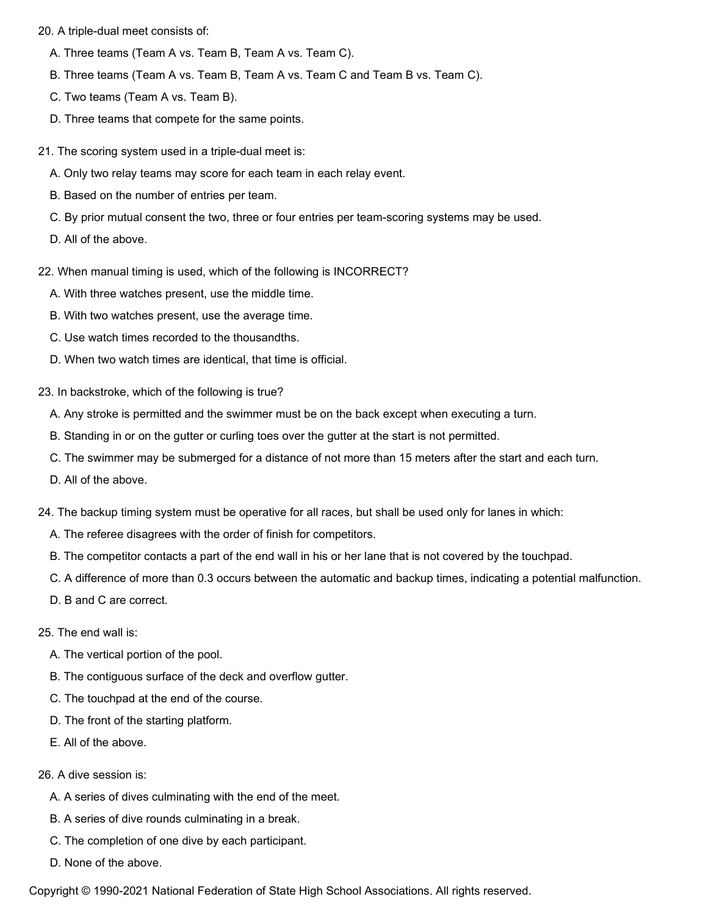20. A triple-dual meet consists of:

- A. Three teams (Team A vs. Team B, Team A vs. Team C).
- B. Three teams (Team A vs. Team B, Team A vs. Team C and Team B vs. Team C).
- C. Two teams (Team A vs. Team B).
- D. Three teams that compete for the same points.
- 21. The scoring system used in a triple-dual meet is:
	- A. Only two relay teams may score for each team in each relay event.
	- B. Based on the number of entries per team.
	- C. By prior mutual consent the two, three or four entries per team-scoring systems may be used.
	- D. All of the above.
- 22. When manual timing is used, which of the following is INCORRECT?
	- A. With three watches present, use the middle time.
	- B. With two watches present, use the average time.
	- C. Use watch times recorded to the thousandths.
	- D. When two watch times are identical, that time is official.
- 23. In backstroke, which of the following is true?
	- A. Any stroke is permitted and the swimmer must be on the back except when executing a turn.
	- B. Standing in or on the gutter or curling toes over the gutter at the start is not permitted.
	- C. The swimmer may be submerged for a distance of not more than 15 meters after the start and each turn.
	- D. All of the above.
- 24. The backup timing system must be operative for all races, but shall be used only for lanes in which:
	- A. The referee disagrees with the order of finish for competitors.
	- B. The competitor contacts a part of the end wall in his or her lane that is not covered by the touchpad.
	- C. A difference of more than 0.3 occurs between the automatic and backup times, indicating a potential malfunction.
	- D. B and C are correct.

## 25. The end wall is:

- A. The vertical portion of the pool.
- B. The contiguous surface of the deck and overflow gutter.
- C. The touchpad at the end of the course.
- D. The front of the starting platform.
- E. All of the above.

## 26. A dive session is:

- A. A series of dives culminating with the end of the meet.
- B. A series of dive rounds culminating in a break.
- C. The completion of one dive by each participant.
- D. None of the above.

Copyright © 1990-2021 National Federation of State High School Associations. All rights reserved.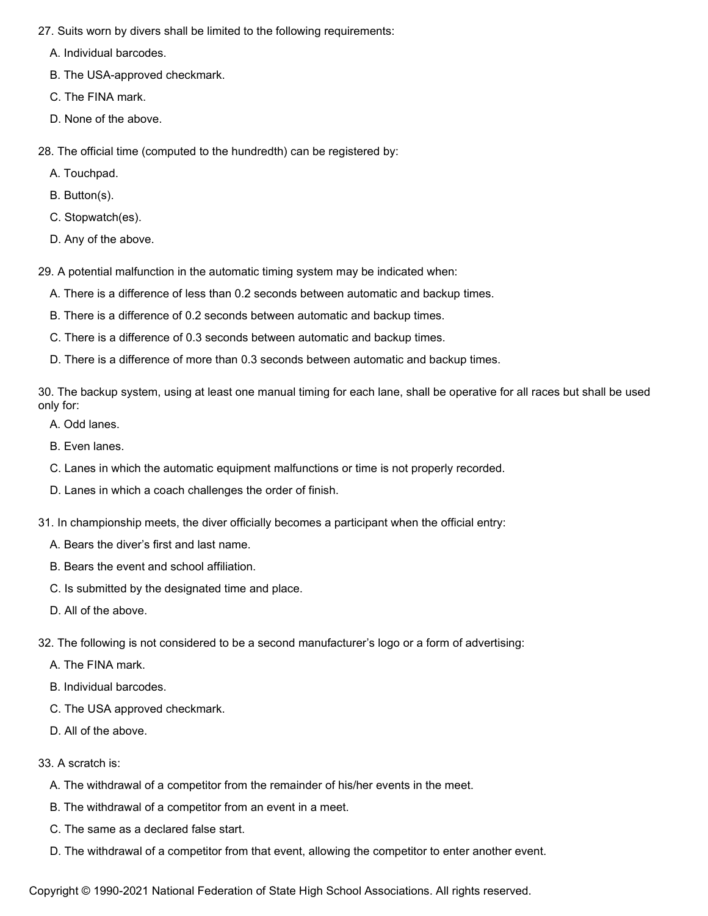27. Suits worn by divers shall be limited to the following requirements:

A. Individual barcodes.

- B. The USA-approved checkmark.
- C. The FINA mark.
- D. None of the above.
- 28. The official time (computed to the hundredth) can be registered by:
	- A. Touchpad.
	- B. Button(s).
	- C. Stopwatch(es).
	- D. Any of the above.
- 29. A potential malfunction in the automatic timing system may be indicated when:
	- A. There is a difference of less than 0.2 seconds between automatic and backup times.
	- B. There is a difference of 0.2 seconds between automatic and backup times.
	- C. There is a difference of 0.3 seconds between automatic and backup times.
	- D. There is a difference of more than 0.3 seconds between automatic and backup times.

30. The backup system, using at least one manual timing for each lane, shall be operative for all races but shall be used only for:

- A. Odd lanes.
- B. Even lanes.
- C. Lanes in which the automatic equipment malfunctions or time is not properly recorded.
- D. Lanes in which a coach challenges the order of finish.
- 31. In championship meets, the diver officially becomes a participant when the official entry:
	- A. Bears the diver's first and last name.
	- B. Bears the event and school affiliation.
	- C. Is submitted by the designated time and place.
	- D. All of the above.
- 32. The following is not considered to be a second manufacturer's logo or a form of advertising:
	- A. The FINA mark.
	- B. Individual barcodes.
	- C. The USA approved checkmark.
	- D. All of the above.

## 33. A scratch is:

- A. The withdrawal of a competitor from the remainder of his/her events in the meet.
- B. The withdrawal of a competitor from an event in a meet.
- C. The same as a declared false start.
- D. The withdrawal of a competitor from that event, allowing the competitor to enter another event.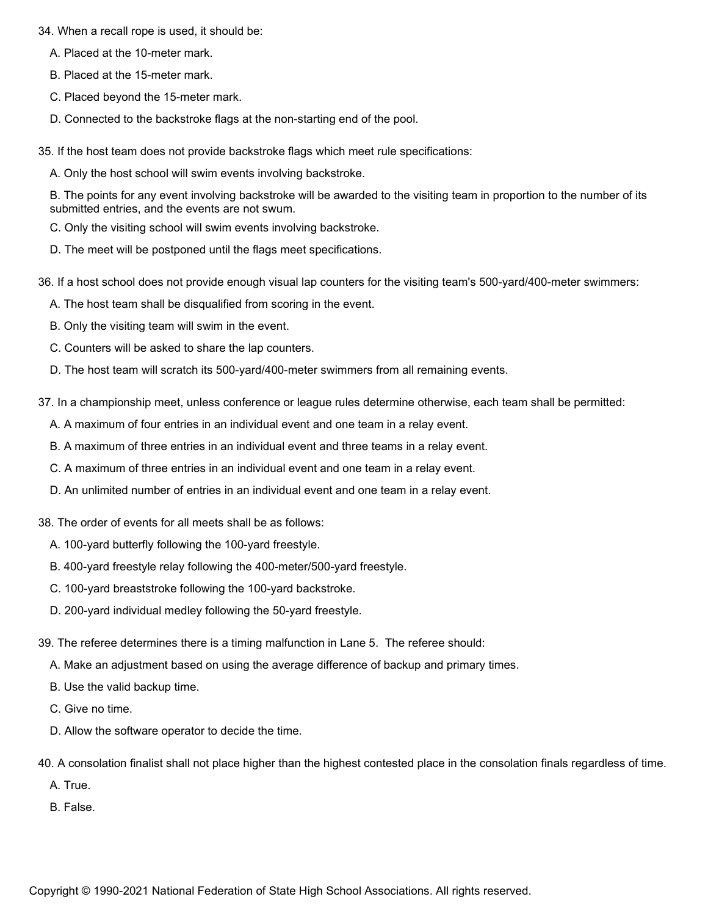34. When a recall rope is used, it should be:

- A. Placed at the 10-meter mark.
- B. Placed at the 15-meter mark.
- C. Placed beyond the 15-meter mark.
- D. Connected to the backstroke flags at the non-starting end of the pool.
- 35. If the host team does not provide backstroke flags which meet rule specifications:
	- A. Only the host school will swim events involving backstroke.

B. The points for any event involving backstroke will be awarded to the visiting team in proportion to the number of its submitted entries, and the events are not swum.

- C. Only the visiting school will swim events involving backstroke.
- D. The meet will be postponed until the flags meet specifications.
- 36. If a host school does not provide enough visual lap counters for the visiting team's 500-yard/400-meter swimmers:
	- A. The host team shall be disqualified from scoring in the event.
	- B. Only the visiting team will swim in the event.
	- C. Counters will be asked to share the lap counters.
	- D. The host team will scratch its 500-yard/400-meter swimmers from all remaining events.
- 37. In a championship meet, unless conference or league rules determine otherwise, each team shall be permitted:
	- A. A maximum of four entries in an individual event and one team in a relay event.
	- B. A maximum of three entries in an individual event and three teams in a relay event.
	- C. A maximum of three entries in an individual event and one team in a relay event.
	- D. An unlimited number of entries in an individual event and one team in a relay event.
- 38. The order of events for all meets shall be as follows:
	- A. 100-yard butterfly following the 100-yard freestyle.
	- B. 400-yard freestyle relay following the 400-meter/500-yard freestyle.
	- C. 100-yard breaststroke following the 100-yard backstroke.
	- D. 200-yard individual medley following the 50-yard freestyle.
- 39. The referee determines there is a timing malfunction in Lane 5. The referee should:
	- A. Make an adjustment based on using the average difference of backup and primary times.
	- B. Use the valid backup time.
	- C. Give no time.
	- D. Allow the software operator to decide the time.
- 40. A consolation finalist shall not place higher than the highest contested place in the consolation finals regardless of time.
	- A. True.
	- B. False.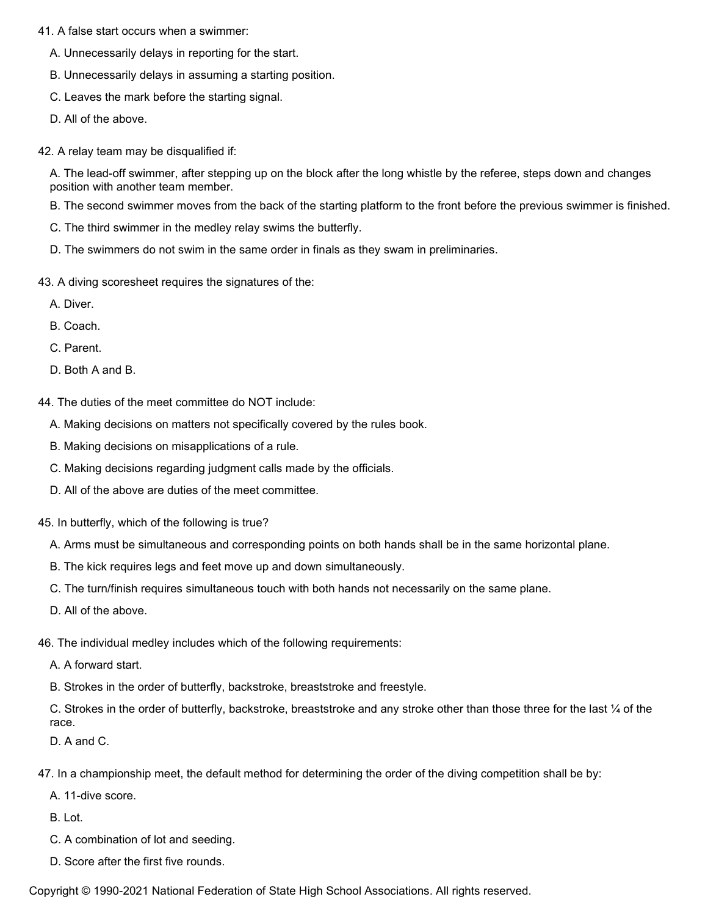- 41. A false start occurs when a swimmer:
	- A. Unnecessarily delays in reporting for the start.
	- B. Unnecessarily delays in assuming a starting position.
	- C. Leaves the mark before the starting signal.
	- D. All of the above.
- 42. A relay team may be disqualified if:

A. The lead-off swimmer, after stepping up on the block after the long whistle by the referee, steps down and changes position with another team member.

- B. The second swimmer moves from the back of the starting platform to the front before the previous swimmer is finished.
- C. The third swimmer in the medley relay swims the butterfly.
- D. The swimmers do not swim in the same order in finals as they swam in preliminaries.
- 43. A diving scoresheet requires the signatures of the:
	- A. Diver.
	- B. Coach.
	- C. Parent.
	- D. Both A and B.
- 44. The duties of the meet committee do NOT include:
	- A. Making decisions on matters not specifically covered by the rules book.
	- B. Making decisions on misapplications of a rule.
	- C. Making decisions regarding judgment calls made by the officials.
	- D. All of the above are duties of the meet committee.
- 45. In butterfly, which of the following is true?
	- A. Arms must be simultaneous and corresponding points on both hands shall be in the same horizontal plane.
	- B. The kick requires legs and feet move up and down simultaneously.
	- C. The turn/finish requires simultaneous touch with both hands not necessarily on the same plane.
	- D. All of the above.
- 46. The individual medley includes which of the following requirements:
	- A. A forward start.
	- B. Strokes in the order of butterfly, backstroke, breaststroke and freestyle.

C. Strokes in the order of butterfly, backstroke, breaststroke and any stroke other than those three for the last  $\mathcal{V}_4$  of the race.

D. A and C.

- 47. In a championship meet, the default method for determining the order of the diving competition shall be by:
	- A. 11-dive score.

B. Lot.

- C. A combination of lot and seeding.
- D. Score after the first five rounds.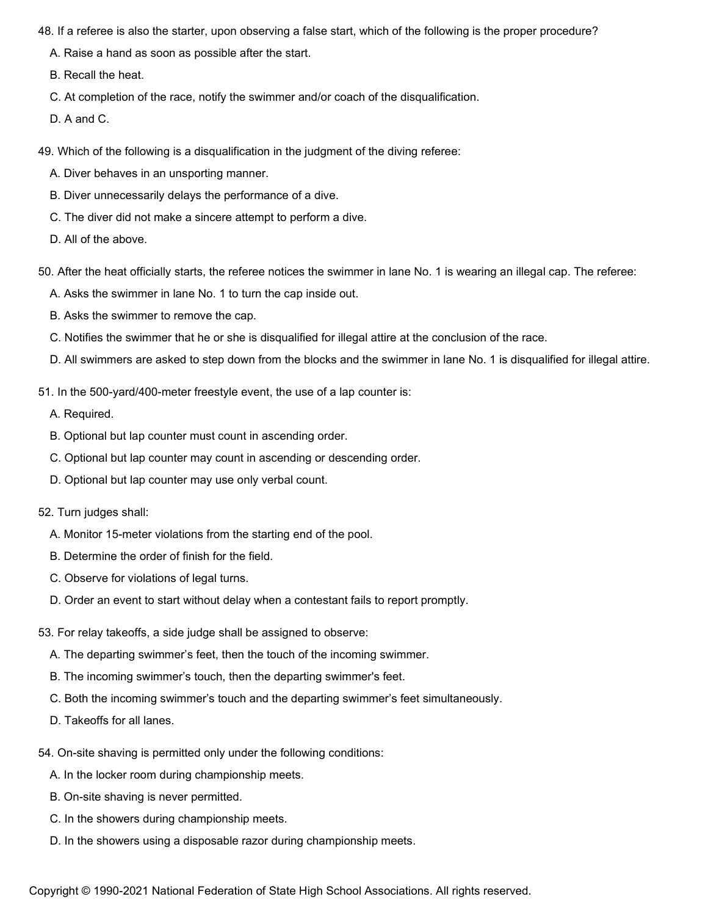- 48. If a referee is also the starter, upon observing a false start, which of the following is the proper procedure?
	- A. Raise a hand as soon as possible after the start.
	- B. Recall the heat.
	- C. At completion of the race, notify the swimmer and/or coach of the disqualification.
	- D. A and C.
- 49. Which of the following is a disqualification in the judgment of the diving referee:
	- A. Diver behaves in an unsporting manner.
	- B. Diver unnecessarily delays the performance of a dive.
	- C. The diver did not make a sincere attempt to perform a dive.
	- D. All of the above.
- 50. After the heat officially starts, the referee notices the swimmer in lane No. 1 is wearing an illegal cap. The referee:
	- A. Asks the swimmer in lane No. 1 to turn the cap inside out.
	- B. Asks the swimmer to remove the cap.
	- C. Notifies the swimmer that he or she is disqualified for illegal attire at the conclusion of the race.
	- D. All swimmers are asked to step down from the blocks and the swimmer in lane No. 1 is disqualified for illegal attire.
- 51. In the 500-yard/400-meter freestyle event, the use of a lap counter is:
	- A. Required.
	- B. Optional but lap counter must count in ascending order.
	- C. Optional but lap counter may count in ascending or descending order.
	- D. Optional but lap counter may use only verbal count.
- 52. Turn judges shall:
	- A. Monitor 15-meter violations from the starting end of the pool.
	- B. Determine the order of finish for the field.
	- C. Observe for violations of legal turns.
	- D. Order an event to start without delay when a contestant fails to report promptly.
- 53. For relay takeoffs, a side judge shall be assigned to observe:
	- A. The departing swimmer's feet, then the touch of the incoming swimmer.
	- B. The incoming swimmer's touch, then the departing swimmer's feet.
	- C. Both the incoming swimmer's touch and the departing swimmer's feet simultaneously.
	- D. Takeoffs for all lanes.
- 54. On-site shaving is permitted only under the following conditions:
	- A. In the locker room during championship meets.
	- B. On-site shaving is never permitted.
	- C. In the showers during championship meets.
	- D. In the showers using a disposable razor during championship meets.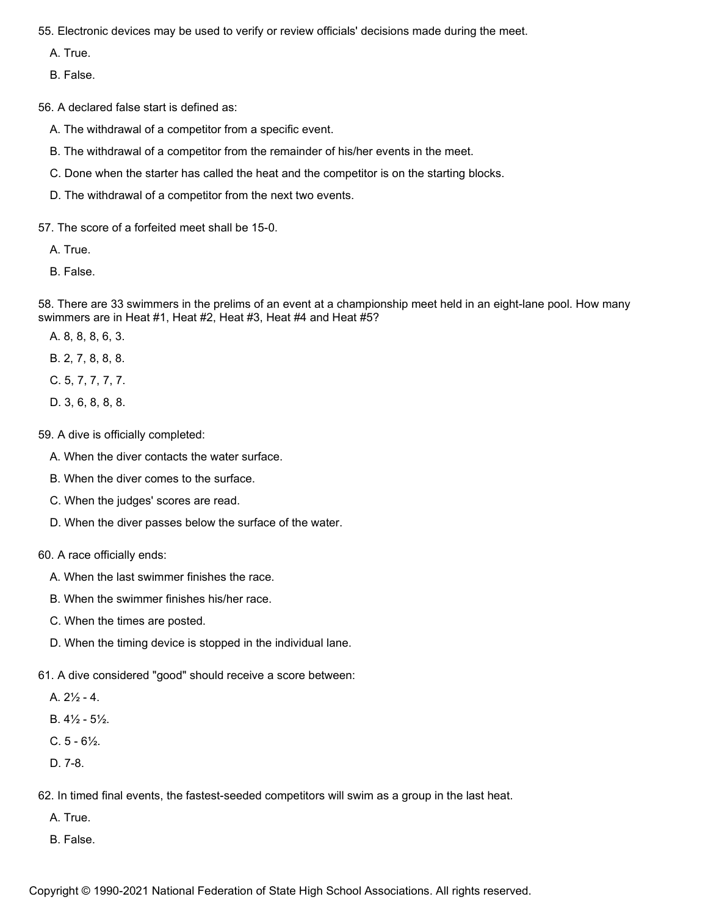55. Electronic devices may be used to verify or review officials' decisions made during the meet.

A. True.

B. False.

56. A declared false start is defined as:

- A. The withdrawal of a competitor from a specific event.
- B. The withdrawal of a competitor from the remainder of his/her events in the meet.
- C. Done when the starter has called the heat and the competitor is on the starting blocks.
- D. The withdrawal of a competitor from the next two events.

57. The score of a forfeited meet shall be 15-0.

- A. True.
- B. False.

58. There are 33 swimmers in the prelims of an event at a championship meet held in an eight-lane pool. How many swimmers are in Heat #1, Heat #2, Heat #3, Heat #4 and Heat #5?

- A. 8, 8, 8, 6, 3.
- B. 2, 7, 8, 8, 8.
- C. 5, 7, 7, 7, 7.
- D. 3, 6, 8, 8, 8.
- 59. A dive is officially completed:
	- A. When the diver contacts the water surface.
	- B. When the diver comes to the surface.
	- C. When the judges' scores are read.
	- D. When the diver passes below the surface of the water.
- 60. A race officially ends:
	- A. When the last swimmer finishes the race.
	- B. When the swimmer finishes his/her race.
	- C. When the times are posted.
	- D. When the timing device is stopped in the individual lane.
- 61. A dive considered "good" should receive a score between:
	- A.  $2\frac{1}{2}$  4.
	- B. 4½ 5½.
	- $C. 5 6\frac{1}{2}$ .
	- D. 7-8.
- 62. In timed final events, the fastest-seeded competitors will swim as a group in the last heat.
	- A. True.
	- B. False.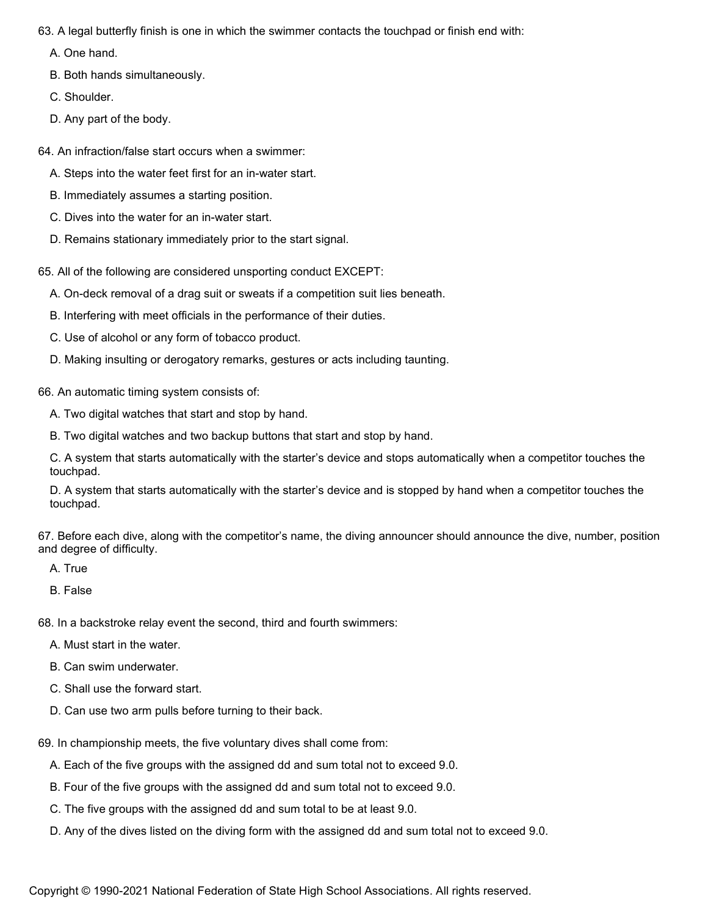63. A legal butterfly finish is one in which the swimmer contacts the touchpad or finish end with:

A. One hand.

B. Both hands simultaneously.

C. Shoulder.

D. Any part of the body.

64. An infraction/false start occurs when a swimmer:

- A. Steps into the water feet first for an in-water start.
- B. Immediately assumes a starting position.
- C. Dives into the water for an in-water start.
- D. Remains stationary immediately prior to the start signal.

65. All of the following are considered unsporting conduct EXCEPT:

A. On-deck removal of a drag suit or sweats if a competition suit lies beneath.

- B. Interfering with meet officials in the performance of their duties.
- C. Use of alcohol or any form of tobacco product.
- D. Making insulting or derogatory remarks, gestures or acts including taunting.

66. An automatic timing system consists of:

A. Two digital watches that start and stop by hand.

B. Two digital watches and two backup buttons that start and stop by hand.

C. A system that starts automatically with the starter's device and stops automatically when a competitor touches the touchpad.

D. A system that starts automatically with the starter's device and is stopped by hand when a competitor touches the touchpad.

67. Before each dive, along with the competitor's name, the diving announcer should announce the dive, number, position and degree of difficulty.

A. True

B. False

68. In a backstroke relay event the second, third and fourth swimmers:

- A. Must start in the water.
- B. Can swim underwater.
- C. Shall use the forward start.
- D. Can use two arm pulls before turning to their back.
- 69. In championship meets, the five voluntary dives shall come from:
	- A. Each of the five groups with the assigned dd and sum total not to exceed 9.0.
	- B. Four of the five groups with the assigned dd and sum total not to exceed 9.0.
	- C. The five groups with the assigned dd and sum total to be at least 9.0.
	- D. Any of the dives listed on the diving form with the assigned dd and sum total not to exceed 9.0.

Copyright © 1990-2021 National Federation of State High School Associations. All rights reserved.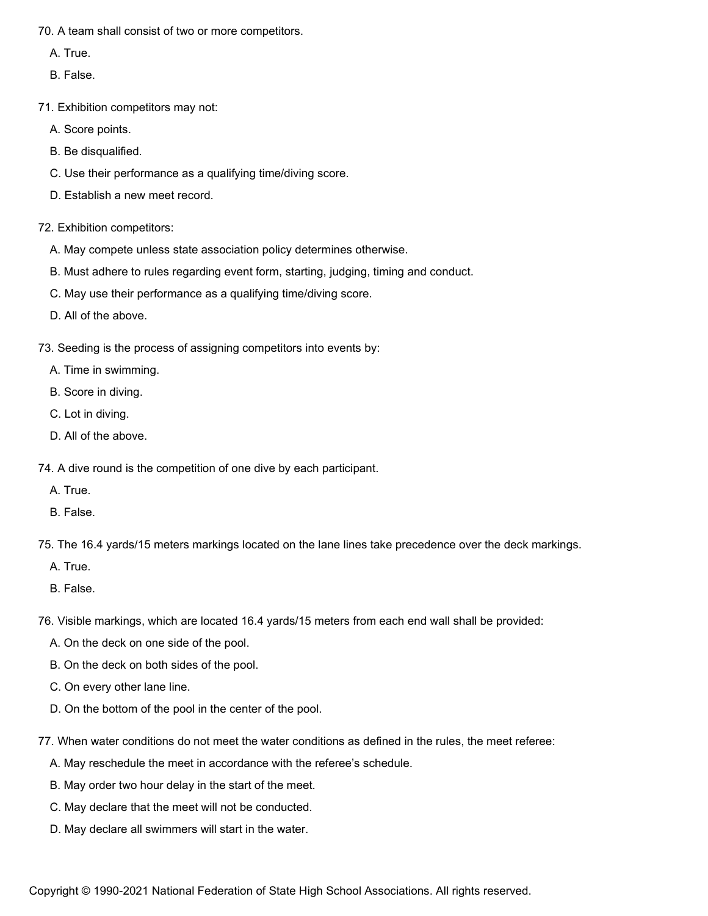70. A team shall consist of two or more competitors.

- A. True.
- B. False.
- 71. Exhibition competitors may not:
	- A. Score points.
	- B. Be disqualified.
	- C. Use their performance as a qualifying time/diving score.
	- D. Establish a new meet record.
- 72. Exhibition competitors:
	- A. May compete unless state association policy determines otherwise.
	- B. Must adhere to rules regarding event form, starting, judging, timing and conduct.
	- C. May use their performance as a qualifying time/diving score.
	- D. All of the above.
- 73. Seeding is the process of assigning competitors into events by:
	- A. Time in swimming.
	- B. Score in diving.
	- C. Lot in diving.
	- D. All of the above.
- 74. A dive round is the competition of one dive by each participant.
	- A. True.
	- B. False.
- 75. The 16.4 yards/15 meters markings located on the lane lines take precedence over the deck markings.
	- A. True.
	- B. False.
- 76. Visible markings, which are located 16.4 yards/15 meters from each end wall shall be provided:
	- A. On the deck on one side of the pool.
	- B. On the deck on both sides of the pool.
	- C. On every other lane line.
	- D. On the bottom of the pool in the center of the pool.
- 77. When water conditions do not meet the water conditions as defined in the rules, the meet referee:
	- A. May reschedule the meet in accordance with the referee's schedule.
	- B. May order two hour delay in the start of the meet.
	- C. May declare that the meet will not be conducted.
	- D. May declare all swimmers will start in the water.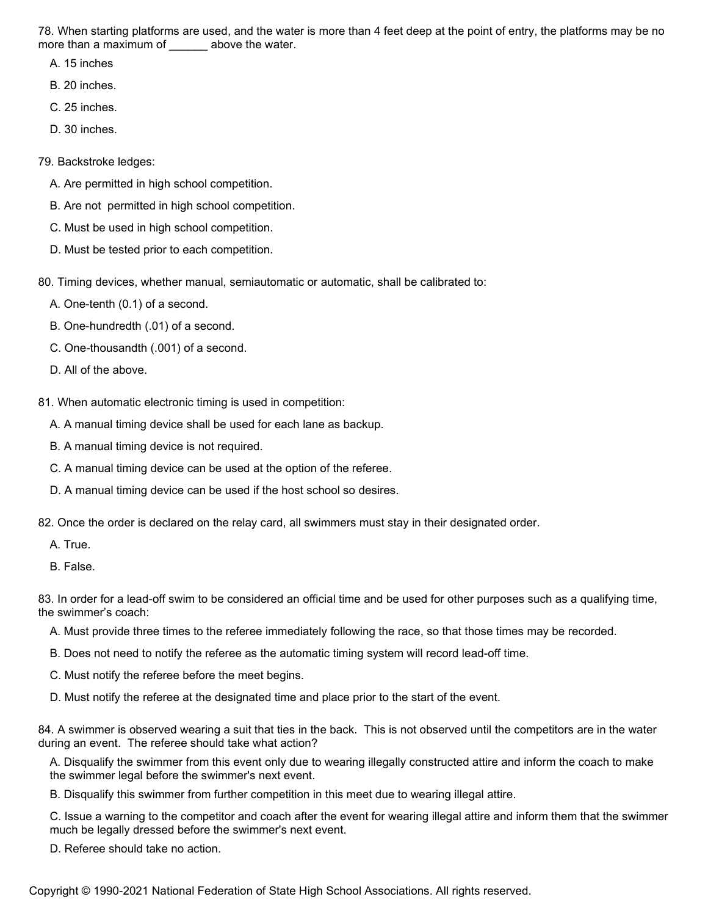78. When starting platforms are used, and the water is more than 4 feet deep at the point of entry, the platforms may be no more than a maximum of \_\_\_\_\_\_\_ above the water.

A. 15 inches

B. 20 inches.

- C. 25 inches.
- D. 30 inches.
- 79. Backstroke ledges:
	- A. Are permitted in high school competition.
	- B. Are not permitted in high school competition.
	- C. Must be used in high school competition.
	- D. Must be tested prior to each competition.
- 80. Timing devices, whether manual, semiautomatic or automatic, shall be calibrated to:
	- A. One-tenth (0.1) of a second.
	- B. One-hundredth (.01) of a second.
	- C. One-thousandth (.001) of a second.
	- D. All of the above.
- 81. When automatic electronic timing is used in competition:
	- A. A manual timing device shall be used for each lane as backup.
	- B. A manual timing device is not required.
	- C. A manual timing device can be used at the option of the referee.
	- D. A manual timing device can be used if the host school so desires.
- 82. Once the order is declared on the relay card, all swimmers must stay in their designated order.
	- A. True.
	- B. False.

83. In order for a lead-off swim to be considered an official time and be used for other purposes such as a qualifying time, the swimmer's coach:

- A. Must provide three times to the referee immediately following the race, so that those times may be recorded.
- B. Does not need to notify the referee as the automatic timing system will record lead-off time.
- C. Must notify the referee before the meet begins.
- D. Must notify the referee at the designated time and place prior to the start of the event.

84. A swimmer is observed wearing a suit that ties in the back. This is not observed until the competitors are in the water during an event. The referee should take what action?

A. Disqualify the swimmer from this event only due to wearing illegally constructed attire and inform the coach to make the swimmer legal before the swimmer's next event.

B. Disqualify this swimmer from further competition in this meet due to wearing illegal attire.

C. Issue a warning to the competitor and coach after the event for wearing illegal attire and inform them that the swimmer much be legally dressed before the swimmer's next event.

D. Referee should take no action.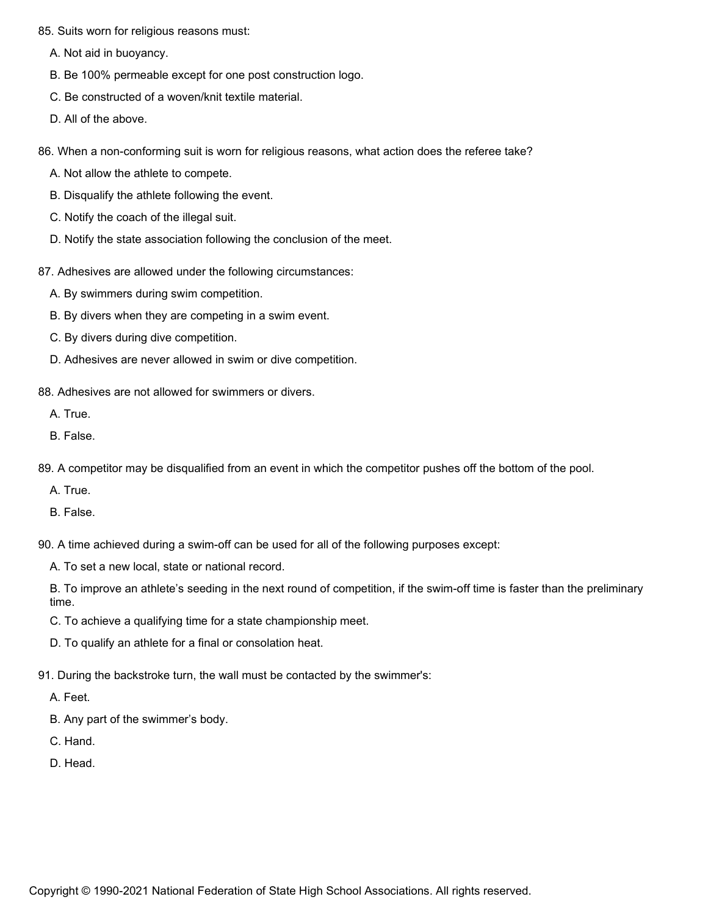- 85. Suits worn for religious reasons must:
	- A. Not aid in buoyancy.
	- B. Be 100% permeable except for one post construction logo.
	- C. Be constructed of a woven/knit textile material.
	- D. All of the above.
- 86. When a non-conforming suit is worn for religious reasons, what action does the referee take?
	- A. Not allow the athlete to compete.
	- B. Disqualify the athlete following the event.
	- C. Notify the coach of the illegal suit.
	- D. Notify the state association following the conclusion of the meet.
- 87. Adhesives are allowed under the following circumstances:
	- A. By swimmers during swim competition.
	- B. By divers when they are competing in a swim event.
	- C. By divers during dive competition.
	- D. Adhesives are never allowed in swim or dive competition.
- 88. Adhesives are not allowed for swimmers or divers.
	- A. True.
	- B. False.
- 89. A competitor may be disqualified from an event in which the competitor pushes off the bottom of the pool.
	- A. True.
	- B. False.
- 90. A time achieved during a swim-off can be used for all of the following purposes except:
	- A. To set a new local, state or national record.
	- B. To improve an athlete's seeding in the next round of competition, if the swim-off time is faster than the preliminary time.
	- C. To achieve a qualifying time for a state championship meet.
	- D. To qualify an athlete for a final or consolation heat.
- 91. During the backstroke turn, the wall must be contacted by the swimmer's:
	- A. Feet.
	- B. Any part of the swimmer's body.
	- C. Hand.
	- D. Head.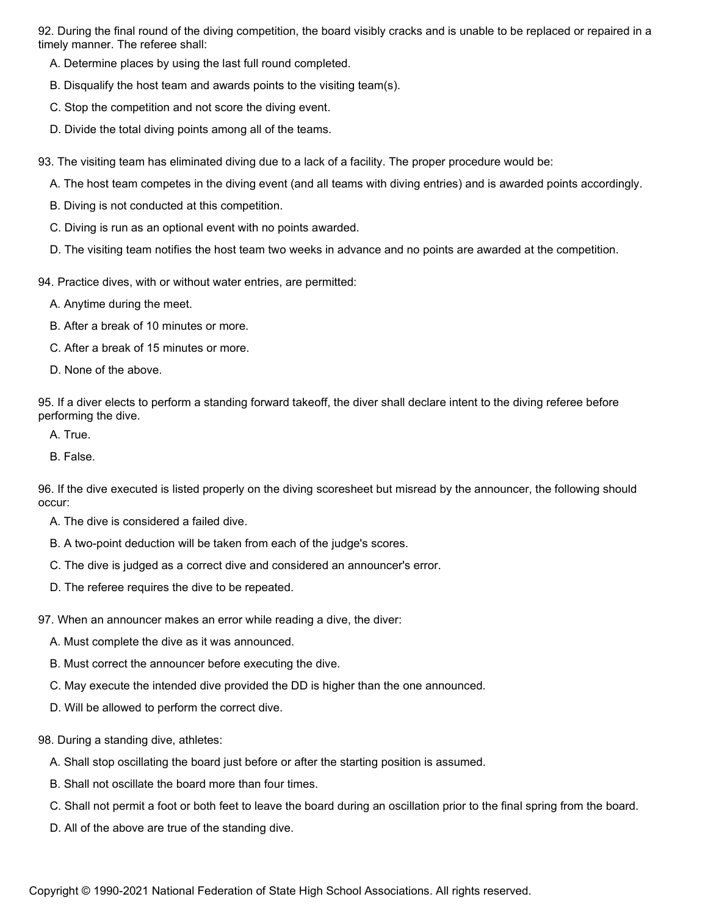92. During the final round of the diving competition, the board visibly cracks and is unable to be replaced or repaired in a timely manner. The referee shall:

- A. Determine places by using the last full round completed.
- B. Disqualify the host team and awards points to the visiting team(s).
- C. Stop the competition and not score the diving event.
- D. Divide the total diving points among all of the teams.
- 93. The visiting team has eliminated diving due to a lack of a facility. The proper procedure would be:
	- A. The host team competes in the diving event (and all teams with diving entries) and is awarded points accordingly.
	- B. Diving is not conducted at this competition.
	- C. Diving is run as an optional event with no points awarded.
	- D. The visiting team notifies the host team two weeks in advance and no points are awarded at the competition.
- 94. Practice dives, with or without water entries, are permitted:
	- A. Anytime during the meet.
	- B. After a break of 10 minutes or more.
	- C. After a break of 15 minutes or more.
	- D. None of the above.

95. If a diver elects to perform a standing forward takeoff, the diver shall declare intent to the diving referee before performing the dive.

- A. True.
- B. False.

96. If the dive executed is listed properly on the diving scoresheet but misread by the announcer, the following should occur:

- A. The dive is considered a failed dive.
- B. A two-point deduction will be taken from each of the judge's scores.
- C. The dive is judged as a correct dive and considered an announcer's error.
- D. The referee requires the dive to be repeated.
- 97. When an announcer makes an error while reading a dive, the diver:
	- A. Must complete the dive as it was announced.
	- B. Must correct the announcer before executing the dive.
	- C. May execute the intended dive provided the DD is higher than the one announced.
	- D. Will be allowed to perform the correct dive.
- 98. During a standing dive, athletes:
	- A. Shall stop oscillating the board just before or after the starting position is assumed.
	- B. Shall not oscillate the board more than four times.
	- C. Shall not permit a foot or both feet to leave the board during an oscillation prior to the final spring from the board.
	- D. All of the above are true of the standing dive.